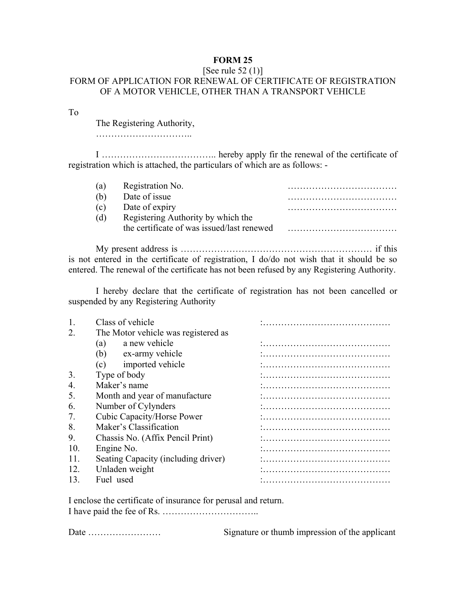## **FORM 25**

## [See rule 52 (1)] FORM OF APPLICATION FOR RENEWAL OF CERTIFICATE OF REGISTRATION OF A MOTOR VEHICLE, OTHER THAN A TRANSPORT VEHICLE

To

The Registering Authority,

…………………………..

 I ……………………………….. hereby apply fir the renewal of the certificate of registration which is attached, the particulars of which are as follows: -

| (a) | Registration No.                           |  |
|-----|--------------------------------------------|--|
| (b) | Date of issue                              |  |
| (C) | Date of expiry                             |  |
| (d) | Registering Authority by which the         |  |
|     | the certificate of was issued/last renewed |  |

 My present address is ……………………………………………………… if this is not entered in the certificate of registration, I do/do not wish that it should be so entered. The renewal of the certificate has not been refused by any Registering Authority.

 I hereby declare that the certificate of registration has not been cancelled or suspended by any Registering Authority

|     | Class of vehicle                    |  |
|-----|-------------------------------------|--|
|     | The Motor vehicle was registered as |  |
|     | a new vehicle<br>(a)                |  |
|     | (b)<br>ex-army vehicle              |  |
|     | imported vehicle<br>(c)             |  |
| 3.  | Type of body                        |  |
| 4.  | Maker's name                        |  |
| 5.  | Month and year of manufacture       |  |
| 6   | Number of Cylynders                 |  |
|     | Cubic Capacity/Horse Power          |  |
| 8.  | Maker's Classification              |  |
| 9.  | Chassis No. (Affix Pencil Print)    |  |
| 10  | Engine No.                          |  |
| 11  | Seating Capacity (including driver) |  |
| 12. | Unladen weight                      |  |
| 13  | Fuel used                           |  |
|     |                                     |  |

I enclose the certificate of insurance for perusal and return. I have paid the fee of Rs. …………………………..

Date …………………… Signature or thumb impression of the applicant